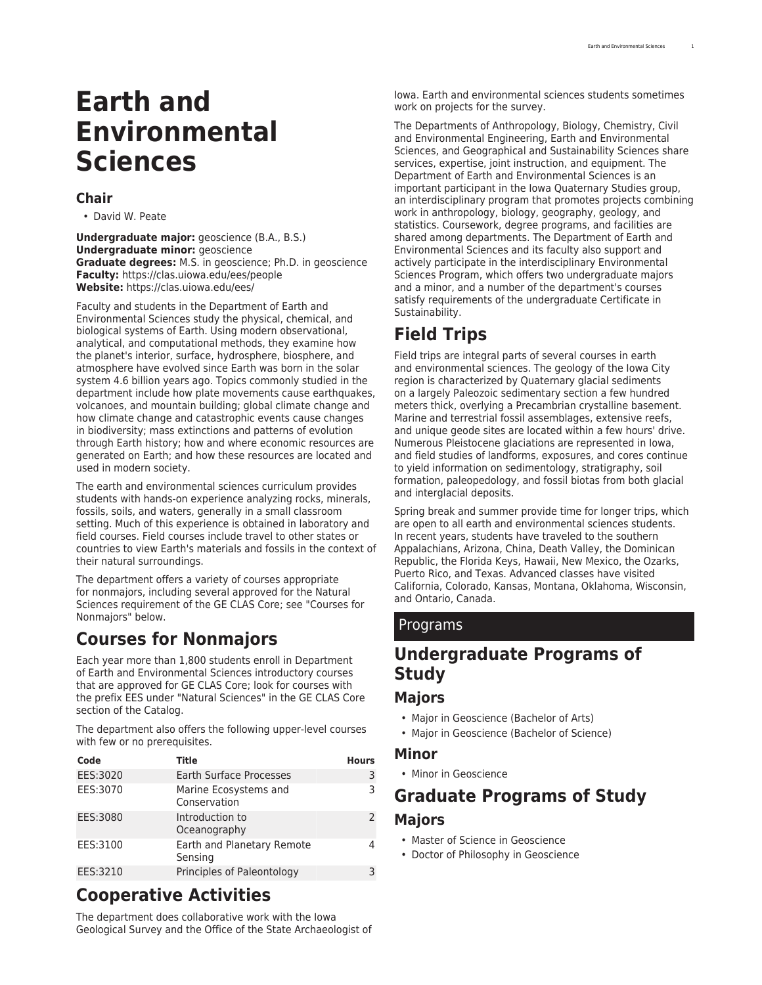# **Earth and Environmental Sciences**

### **Chair**

• David W. Peate

**Undergraduate major:** geoscience (B.A., B.S.) **Undergraduate minor:** geoscience **Graduate degrees:** M.S. in geoscience; Ph.D. in geoscience **Faculty:** [https://clas.uiowa.edu/ees/people](https://clas.uiowa.edu/ees/people/) **Website:** <https://clas.uiowa.edu/ees/>

Faculty and students in the Department of Earth and Environmental Sciences study the physical, chemical, and biological systems of Earth. Using modern observational, analytical, and computational methods, they examine how the planet's interior, surface, hydrosphere, biosphere, and atmosphere have evolved since Earth was born in the solar system 4.6 billion years ago. Topics commonly studied in the department include how plate movements cause earthquakes, volcanoes, and mountain building; global climate change and how climate change and catastrophic events cause changes in biodiversity; mass extinctions and patterns of evolution through Earth history; how and where economic resources are generated on Earth; and how these resources are located and used in modern society.

The earth and environmental sciences curriculum provides students with hands-on experience analyzing rocks, minerals, fossils, soils, and waters, generally in a small classroom setting. Much of this experience is obtained in laboratory and field courses. Field courses include travel to other states or countries to view Earth's materials and fossils in the context of their natural surroundings.

The department offers a variety of courses appropriate for nonmajors, including several approved for the Natural Sciences requirement of the [GE CLAS Core;](http://catalog.registrar.uiowa.edu/liberal-arts-sciences/general-education-program/) see "Courses for Nonmajors" below.

## **Courses for Nonmajors**

Each year more than 1,800 students enroll in Department of Earth and Environmental Sciences introductory courses that are approved for GE CLAS Core; look for courses with the prefix EES under "Natural Sciences" in the [GE CLAS Core](http://catalog.registrar.uiowa.edu/liberal-arts-sciences/general-education-program/) section of the Catalog.

The department also offers the following upper-level courses with few or no prerequisites.

| Code     | Title                                 | <b>Hours</b>  |
|----------|---------------------------------------|---------------|
| EES:3020 | <b>Earth Surface Processes</b>        | 3             |
| EES:3070 | Marine Ecosystems and<br>Conservation | 3             |
| EES:3080 | Introduction to<br>Oceanography       | $\mathcal{P}$ |
| EES:3100 | Earth and Planetary Remote<br>Sensing | 4             |
| EES:3210 | Principles of Paleontology            | 3             |

## **Cooperative Activities**

The department does collaborative work with the [Iowa](https://iowageologicalsurvey.org/) [Geological Survey](https://iowageologicalsurvey.org/) and the [Office of the State Archaeologist](https://archaeology.uiowa.edu/) of Iowa. Earth and environmental sciences students sometimes work on projects for the survey.

The Departments of Anthropology, Biology, Chemistry, Civil and Environmental Engineering, Earth and Environmental Sciences, and Geographical and Sustainability Sciences share services, expertise, joint instruction, and equipment. The Department of Earth and Environmental Sciences is an important participant in the Iowa Quaternary Studies group, an interdisciplinary program that promotes projects combining work in anthropology, biology, geography, geology, and statistics. Coursework, degree programs, and facilities are shared among departments. The Department of Earth and Environmental Sciences and its faculty also support and actively participate in the interdisciplinary [Environmental](http://catalog.registrar.uiowa.edu/liberal-arts-sciences/environmental-sciences/) [Sciences Program](http://catalog.registrar.uiowa.edu/liberal-arts-sciences/environmental-sciences/), which offers two undergraduate majors and a minor, and a number of the department's courses satisfy requirements of the undergraduate Certificate in [Sustainability.](http://catalog.registrar.uiowa.edu/university-college/sustainability/)

## **Field Trips**

Field trips are integral parts of several courses in earth and environmental sciences. The geology of the Iowa City region is characterized by Quaternary glacial sediments on a largely Paleozoic sedimentary section a few hundred meters thick, overlying a Precambrian crystalline basement. Marine and terrestrial fossil assemblages, extensive reefs, and unique geode sites are located within a few hours' drive. Numerous Pleistocene glaciations are represented in Iowa, and field studies of landforms, exposures, and cores continue to yield information on sedimentology, stratigraphy, soil formation, paleopedology, and fossil biotas from both glacial and interglacial deposits.

Spring break and summer provide time for longer trips, which are open to all earth and environmental sciences students. In recent years, students have traveled to the southern Appalachians, Arizona, China, Death Valley, the Dominican Republic, the Florida Keys, Hawaii, New Mexico, the Ozarks, Puerto Rico, and Texas. Advanced classes have visited California, Colorado, Kansas, Montana, Oklahoma, Wisconsin, and Ontario, Canada.

## Programs

## **Undergraduate Programs of Study**

### **Majors**

- [Major in Geoscience \(Bachelor of Arts\)](http://catalog.registrar.uiowa.edu/liberal-arts-sciences/earth-environmental-sciences/geoscience-ba/)
- [Major in Geoscience \(Bachelor of Science\)](http://catalog.registrar.uiowa.edu/liberal-arts-sciences/earth-environmental-sciences/geoscience-bs/)

## **Minor**

• [Minor in Geoscience](http://catalog.registrar.uiowa.edu/liberal-arts-sciences/earth-environmental-sciences/geoscience-minor/)

## **Graduate Programs of Study**

### **Majors**

- [Master of Science in Geoscience](http://catalog.registrar.uiowa.edu/liberal-arts-sciences/earth-environmental-sciences/geoscience-ms/)
- [Doctor of Philosophy in Geoscience](http://catalog.registrar.uiowa.edu/liberal-arts-sciences/earth-environmental-sciences/geoscience-phd/)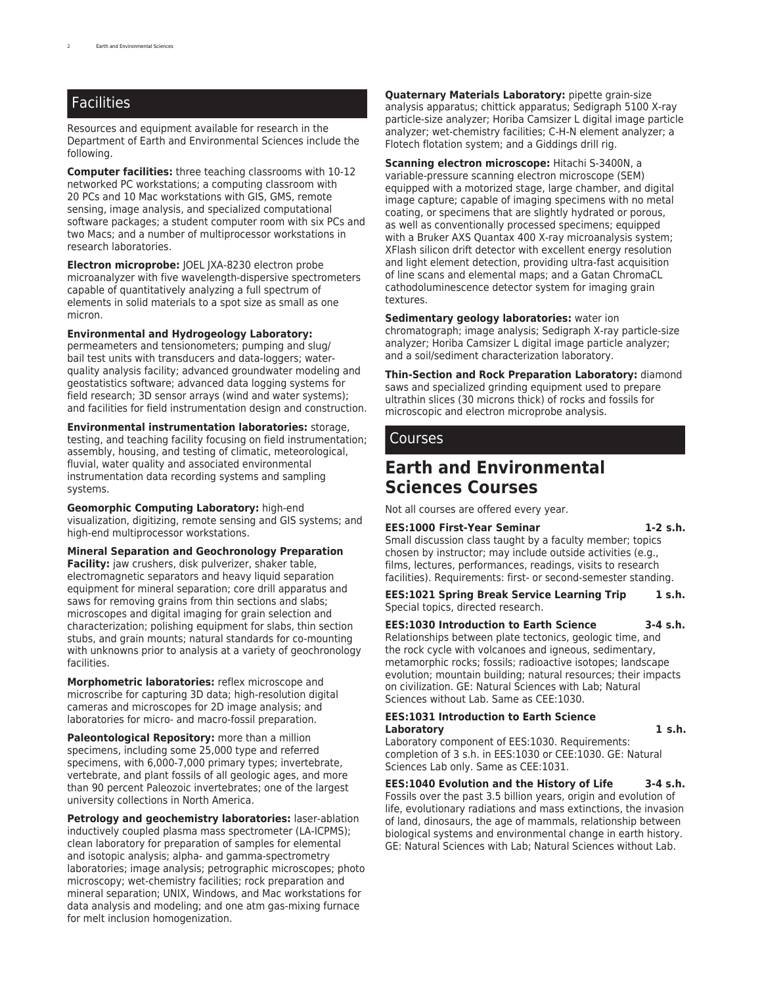## **Facilities**

Resources and equipment available for research in the Department of Earth and Environmental Sciences include the following.

**Computer facilities:** three teaching classrooms with 10-12 networked PC workstations; a computing classroom with 20 PCs and 10 Mac workstations with GIS, GMS, remote sensing, image analysis, and specialized computational software packages; a student computer room with six PCs and two Macs; and a number of multiprocessor workstations in research laboratories.

**Electron microprobe:** JOEL JXA-8230 electron probe microanalyzer with five wavelength-dispersive spectrometers capable of quantitatively analyzing a full spectrum of elements in solid materials to a spot size as small as one micron.

#### **Environmental and Hydrogeology Laboratory:**

permeameters and tensionometers; pumping and slug/ bail test units with transducers and data-loggers; waterquality analysis facility; advanced groundwater modeling and geostatistics software; advanced data logging systems for field research; 3D sensor arrays (wind and water systems); and facilities for field instrumentation design and construction.

**Environmental instrumentation laboratories:** storage, testing, and teaching facility focusing on field instrumentation; assembly, housing, and testing of climatic, meteorological, fluvial, water quality and associated environmental instrumentation data recording systems and sampling systems.

**Geomorphic Computing Laboratory:** high-end visualization, digitizing, remote sensing and GIS systems; and high-end multiprocessor workstations.

**Mineral Separation and Geochronology Preparation Facility:** jaw crushers, disk pulverizer, shaker table, electromagnetic separators and heavy liquid separation equipment for mineral separation; core drill apparatus and saws for removing grains from thin sections and slabs; microscopes and digital imaging for grain selection and characterization; polishing equipment for slabs, thin section stubs, and grain mounts; natural standards for co-mounting with unknowns prior to analysis at a variety of geochronology facilities.

**Morphometric laboratories:** reflex microscope and microscribe for capturing 3D data; high-resolution digital cameras and microscopes for 2D image analysis; and laboratories for micro- and macro-fossil preparation.

**Paleontological Repository:** more than a million specimens, including some 25,000 type and referred specimens, with 6,000-7,000 primary types; invertebrate, vertebrate, and plant fossils of all geologic ages, and more than 90 percent Paleozoic invertebrates; one of the largest university collections in North America.

**Petrology and geochemistry laboratories:** laser-ablation inductively coupled plasma mass spectrometer (LA-ICPMS); clean laboratory for preparation of samples for elemental and isotopic analysis; alpha- and gamma-spectrometry laboratories; image analysis; petrographic microscopes; photo microscopy; wet-chemistry facilities; rock preparation and mineral separation; UNIX, Windows, and Mac workstations for data analysis and modeling; and one atm gas-mixing furnace for melt inclusion homogenization.

**Quaternary Materials Laboratory:** pipette grain-size analysis apparatus; chittick apparatus; Sedigraph 5100 X-ray particle-size analyzer; Horiba Camsizer L digital image particle analyzer; wet-chemistry facilities; C-H-N element analyzer; a Flotech flotation system; and a Giddings drill rig.

**Scanning electron microscope:** Hitachi S-3400N, a variable-pressure scanning electron microscope (SEM) equipped with a motorized stage, large chamber, and digital image capture; capable of imaging specimens with no metal coating, or specimens that are slightly hydrated or porous, as well as conventionally processed specimens; equipped with a Bruker AXS Quantax 400 X-ray microanalysis system; XFlash silicon drift detector with excellent energy resolution and light element detection, providing ultra-fast acquisition of line scans and elemental maps; and a Gatan ChromaCL cathodoluminescence detector system for imaging grain textures.

**Sedimentary geology laboratories:** water ion chromatograph; image analysis; Sedigraph X-ray particle-size analyzer; Horiba Camsizer L digital image particle analyzer; and a soil/sediment characterization laboratory.

**Thin-Section and Rock Preparation Laboratory:** diamond saws and specialized grinding equipment used to prepare ultrathin slices (30 microns thick) of rocks and fossils for microscopic and electron microprobe analysis.

## Courses

## **Earth and Environmental Sciences Courses**

Not all courses are offered every year.

**EES:1000 First-Year Seminar 1-2 s.h.** Small discussion class taught by a faculty member; topics chosen by instructor; may include outside activities (e.g., films, lectures, performances, readings, visits to research facilities). Requirements: first- or second-semester standing.

**EES:1021 Spring Break Service Learning Trip 1 s.h.** Special topics, directed research.

**EES:1030 Introduction to Earth Science 3-4 s.h.** Relationships between plate tectonics, geologic time, and the rock cycle with volcanoes and igneous, sedimentary, metamorphic rocks; fossils; radioactive isotopes; landscape evolution; mountain building; natural resources; their impacts on civilization. GE: Natural Sciences with Lab; Natural Sciences without Lab. Same as CEE:1030.

#### **EES:1031 Introduction to Earth Science Laboratory 1 s.h.**

Laboratory component of EES:1030. Requirements: completion of 3 s.h. in EES:1030 or CEE:1030. GE: Natural Sciences Lab only. Same as CEE:1031.

**EES:1040 Evolution and the History of Life 3-4 s.h.** Fossils over the past 3.5 billion years, origin and evolution of life, evolutionary radiations and mass extinctions, the invasion of land, dinosaurs, the age of mammals, relationship between biological systems and environmental change in earth history. GE: Natural Sciences with Lab; Natural Sciences without Lab.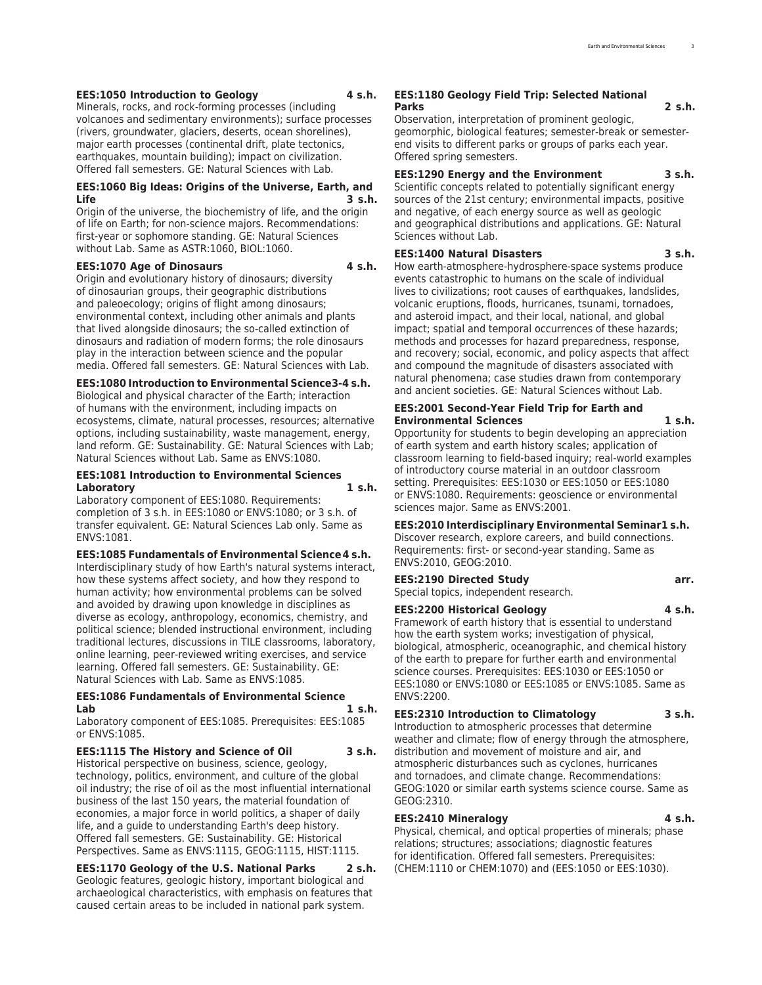#### **EES:1050 Introduction to Geology 4 s.h.**

Minerals, rocks, and rock-forming processes (including volcanoes and sedimentary environments); surface processes (rivers, groundwater, glaciers, deserts, ocean shorelines), major earth processes (continental drift, plate tectonics, earthquakes, mountain building); impact on civilization. Offered fall semesters. GE: Natural Sciences with Lab.

#### **EES:1060 Big Ideas: Origins of the Universe, Earth, and Life 3 s.h.**

Origin of the universe, the biochemistry of life, and the origin of life on Earth; for non-science majors. Recommendations: first-year or sophomore standing. GE: Natural Sciences without Lab. Same as ASTR:1060, BIOL:1060.

#### **EES:1070 Age of Dinosaurs 4 s.h.**

Origin and evolutionary history of dinosaurs; diversity of dinosaurian groups, their geographic distributions and paleoecology; origins of flight among dinosaurs; environmental context, including other animals and plants that lived alongside dinosaurs; the so-called extinction of dinosaurs and radiation of modern forms; the role dinosaurs play in the interaction between science and the popular media. Offered fall semesters. GE: Natural Sciences with Lab.

**EES:1080 Introduction to Environmental Science3-4 s.h.**

Biological and physical character of the Earth; interaction of humans with the environment, including impacts on ecosystems, climate, natural processes, resources; alternative options, including sustainability, waste management, energy, land reform. GE: Sustainability. GE: Natural Sciences with Lab; Natural Sciences without Lab. Same as ENVS:1080.

#### **EES:1081 Introduction to Environmental Sciences Laboratory 1 s.h.**

Laboratory component of EES:1080. Requirements: completion of 3 s.h. in EES:1080 or ENVS:1080; or 3 s.h. of transfer equivalent. GE: Natural Sciences Lab only. Same as ENVS:1081.

#### **EES:1085 Fundamentals of Environmental Science4 s.h.**

Interdisciplinary study of how Earth's natural systems interact, how these systems affect society, and how they respond to human activity; how environmental problems can be solved and avoided by drawing upon knowledge in disciplines as diverse as ecology, anthropology, economics, chemistry, and political science; blended instructional environment, including traditional lectures, discussions in TILE classrooms, laboratory, online learning, peer-reviewed writing exercises, and service learning. Offered fall semesters. GE: Sustainability. GE: Natural Sciences with Lab. Same as ENVS:1085.

#### **EES:1086 Fundamentals of Environmental Science Lab 1 s.h.**

Laboratory component of EES:1085. Prerequisites: EES:1085 or ENVS:1085.

#### **EES:1115 The History and Science of Oil 3 s.h.**

Historical perspective on business, science, geology, technology, politics, environment, and culture of the global oil industry; the rise of oil as the most influential international business of the last 150 years, the material foundation of economies, a major force in world politics, a shaper of daily life, and a guide to understanding Earth's deep history. Offered fall semesters. GE: Sustainability. GE: Historical Perspectives. Same as ENVS:1115, GEOG:1115, HIST:1115.

**EES:1170 Geology of the U.S. National Parks 2 s.h.** Geologic features, geologic history, important biological and archaeological characteristics, with emphasis on features that caused certain areas to be included in national park system.

#### **EES:1180 Geology Field Trip: Selected National Parks 2 s.h.**

Observation, interpretation of prominent geologic, geomorphic, biological features; semester-break or semesterend visits to different parks or groups of parks each year. Offered spring semesters.

#### **EES:1290 Energy and the Environment 3 s.h.**

Scientific concepts related to potentially significant energy sources of the 21st century; environmental impacts, positive and negative, of each energy source as well as geologic and geographical distributions and applications. GE: Natural Sciences without Lab.

#### **EES:1400 Natural Disasters 3 s.h.**

How earth-atmosphere-hydrosphere-space systems produce events catastrophic to humans on the scale of individual lives to civilizations; root causes of earthquakes, landslides, volcanic eruptions, floods, hurricanes, tsunami, tornadoes, and asteroid impact, and their local, national, and global impact; spatial and temporal occurrences of these hazards; methods and processes for hazard preparedness, response, and recovery; social, economic, and policy aspects that affect and compound the magnitude of disasters associated with natural phenomena; case studies drawn from contemporary and ancient societies. GE: Natural Sciences without Lab.

#### **EES:2001 Second-Year Field Trip for Earth and Environmental Sciences 1 s.h.**

Opportunity for students to begin developing an appreciation of earth system and earth history scales; application of classroom learning to field-based inquiry; real-world examples of introductory course material in an outdoor classroom setting. Prerequisites: EES:1030 or EES:1050 or EES:1080 or ENVS:1080. Requirements: geoscience or environmental sciences major. Same as ENVS:2001.

#### **EES:2010 Interdisciplinary Environmental Seminar1 s.h.**

Discover research, explore careers, and build connections. Requirements: first- or second-year standing. Same as ENVS:2010, GEOG:2010.

#### **EES:2190 Directed Study arr.** Special topics, independent research.

**EES:2200 Historical Geology 4 s.h.** Framework of earth history that is essential to understand how the earth system works; investigation of physical, biological, atmospheric, oceanographic, and chemical history of the earth to prepare for further earth and environmental science courses. Prerequisites: EES:1030 or EES:1050 or EES:1080 or ENVS:1080 or EES:1085 or ENVS:1085. Same as ENVS:2200.

#### **EES:2310 Introduction to Climatology 3 s.h.**

Introduction to atmospheric processes that determine weather and climate; flow of energy through the atmosphere, distribution and movement of moisture and air, and atmospheric disturbances such as cyclones, hurricanes and tornadoes, and climate change. Recommendations: GEOG:1020 or similar earth systems science course. Same as GEOG:2310.

#### **EES:2410 Mineralogy 4 s.h.**

Physical, chemical, and optical properties of minerals; phase relations; structures; associations; diagnostic features for identification. Offered fall semesters. Prerequisites: (CHEM:1110 or CHEM:1070) and (EES:1050 or EES:1030).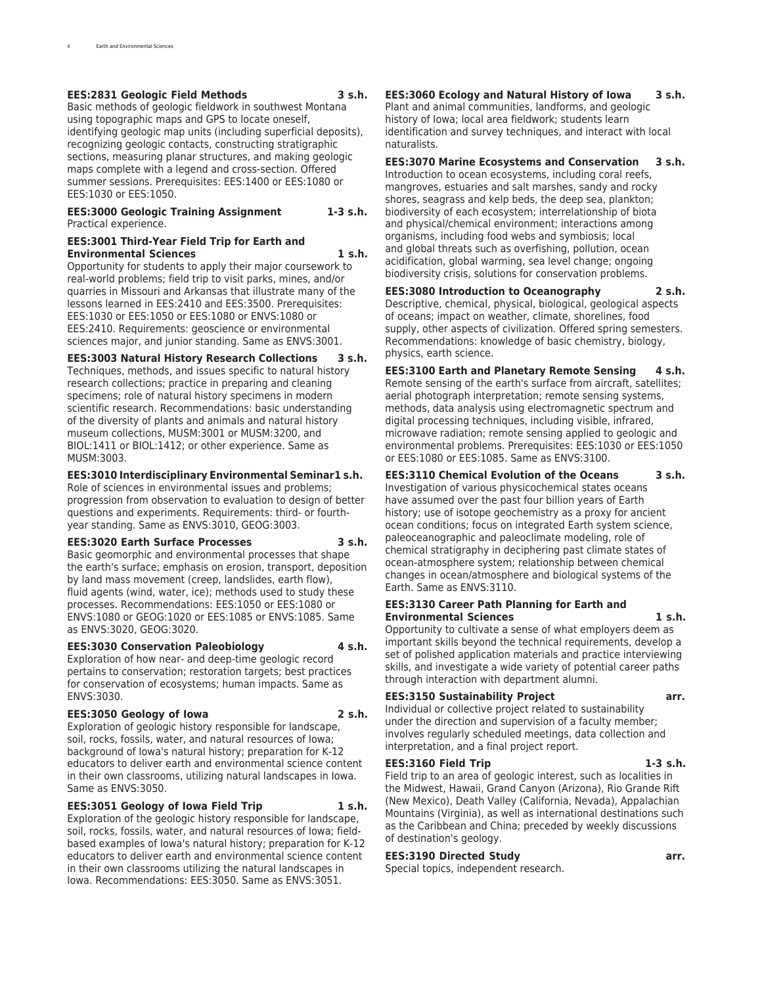#### **EES:2831 Geologic Field Methods 3 s.h.**

Basic methods of geologic fieldwork in southwest Montana using topographic maps and GPS to locate oneself, identifying geologic map units (including superficial deposits), recognizing geologic contacts, constructing stratigraphic sections, measuring planar structures, and making geologic maps complete with a legend and cross-section. Offered summer sessions. Prerequisites: EES:1400 or EES:1080 or EES:1030 or EES:1050.

#### **EES:3000 Geologic Training Assignment 1-3 s.h.** Practical experience.

#### **EES:3001 Third-Year Field Trip for Earth and Environmental Sciences 1 s.h.**

Opportunity for students to apply their major coursework to real-world problems; field trip to visit parks, mines, and/or quarries in Missouri and Arkansas that illustrate many of the lessons learned in EES:2410 and EES:3500. Prerequisites: EES:1030 or EES:1050 or EES:1080 or ENVS:1080 or EES:2410. Requirements: geoscience or environmental sciences major, and junior standing. Same as ENVS:3001.

**EES:3003 Natural History Research Collections 3 s.h.** Techniques, methods, and issues specific to natural history research collections; practice in preparing and cleaning specimens; role of natural history specimens in modern scientific research. Recommendations: basic understanding of the diversity of plants and animals and natural history museum collections, MUSM:3001 or MUSM:3200, and BIOL:1411 or BIOL:1412; or other experience. Same as MUSM:3003.

#### **EES:3010 Interdisciplinary Environmental Seminar1 s.h.**

Role of sciences in environmental issues and problems; progression from observation to evaluation to design of better questions and experiments. Requirements: third- or fourthyear standing. Same as ENVS:3010, GEOG:3003.

#### **EES:3020 Earth Surface Processes 3 s.h.**

Basic geomorphic and environmental processes that shape the earth's surface; emphasis on erosion, transport, deposition by land mass movement (creep, landslides, earth flow), fluid agents (wind, water, ice); methods used to study these processes. Recommendations: EES:1050 or EES:1080 or ENVS:1080 or GEOG:1020 or EES:1085 or ENVS:1085. Same as ENVS:3020, GEOG:3020.

#### **EES:3030 Conservation Paleobiology 4 s.h.**

Exploration of how near- and deep-time geologic record pertains to conservation; restoration targets; best practices for conservation of ecosystems; human impacts. Same as ENVS:3030.

#### **EES:3050 Geology of Iowa 2 s.h.**

Exploration of geologic history responsible for landscape, soil, rocks, fossils, water, and natural resources of Iowa; background of Iowa's natural history; preparation for K-12 educators to deliver earth and environmental science content in their own classrooms, utilizing natural landscapes in Iowa. Same as ENVS:3050.

#### **EES:3051 Geology of Iowa Field Trip 1 s.h.**

Exploration of the geologic history responsible for landscape, soil, rocks, fossils, water, and natural resources of Iowa; fieldbased examples of Iowa's natural history; preparation for K-12 educators to deliver earth and environmental science content in their own classrooms utilizing the natural landscapes in Iowa. Recommendations: EES:3050. Same as ENVS:3051.

## **EES:3060 Ecology and Natural History of Iowa 3 s.h.**

Plant and animal communities, landforms, and geologic history of Iowa; local area fieldwork; students learn identification and survey techniques, and interact with local naturalists.

#### **EES:3070 Marine Ecosystems and Conservation 3 s.h.** Introduction to ocean ecosystems, including coral reefs,

mangroves, estuaries and salt marshes, sandy and rocky shores, seagrass and kelp beds, the deep sea, plankton; biodiversity of each ecosystem; interrelationship of biota and physical/chemical environment; interactions among organisms, including food webs and symbiosis; local and global threats such as overfishing, pollution, ocean acidification, global warming, sea level change; ongoing biodiversity crisis, solutions for conservation problems.

#### **EES:3080 Introduction to Oceanography 2 s.h.**

Descriptive, chemical, physical, biological, geological aspects of oceans; impact on weather, climate, shorelines, food supply, other aspects of civilization. Offered spring semesters. Recommendations: knowledge of basic chemistry, biology, physics, earth science.

**EES:3100 Earth and Planetary Remote Sensing 4 s.h.** Remote sensing of the earth's surface from aircraft, satellites; aerial photograph interpretation; remote sensing systems, methods, data analysis using electromagnetic spectrum and digital processing techniques, including visible, infrared, microwave radiation; remote sensing applied to geologic and environmental problems. Prerequisites: EES:1030 or EES:1050 or EES:1080 or EES:1085. Same as ENVS:3100.

#### **EES:3110 Chemical Evolution of the Oceans 3 s.h.**

Investigation of various physicochemical states oceans have assumed over the past four billion years of Earth history; use of isotope geochemistry as a proxy for ancient ocean conditions; focus on integrated Earth system science, paleoceanographic and paleoclimate modeling, role of chemical stratigraphy in deciphering past climate states of ocean-atmosphere system; relationship between chemical changes in ocean/atmosphere and biological systems of the Earth. Same as ENVS:3110.

#### **EES:3130 Career Path Planning for Earth and Environmental Sciences 1 s.h.**

Opportunity to cultivate a sense of what employers deem as important skills beyond the technical requirements, develop a set of polished application materials and practice interviewing skills, and investigate a wide variety of potential career paths through interaction with department alumni.

#### **EES:3150 Sustainability Project arr.**

Individual or collective project related to sustainability under the direction and supervision of a faculty member; involves regularly scheduled meetings, data collection and interpretation, and a final project report.

#### **EES:3160 Field Trip 1-3 s.h.**

Field trip to an area of geologic interest, such as localities in the Midwest, Hawaii, Grand Canyon (Arizona), Rio Grande Rift (New Mexico), Death Valley (California, Nevada), Appalachian Mountains (Virginia), as well as international destinations such as the Caribbean and China; preceded by weekly discussions of destination's geology.

#### **EES:3190 Directed Study arr.**

Special topics, independent research.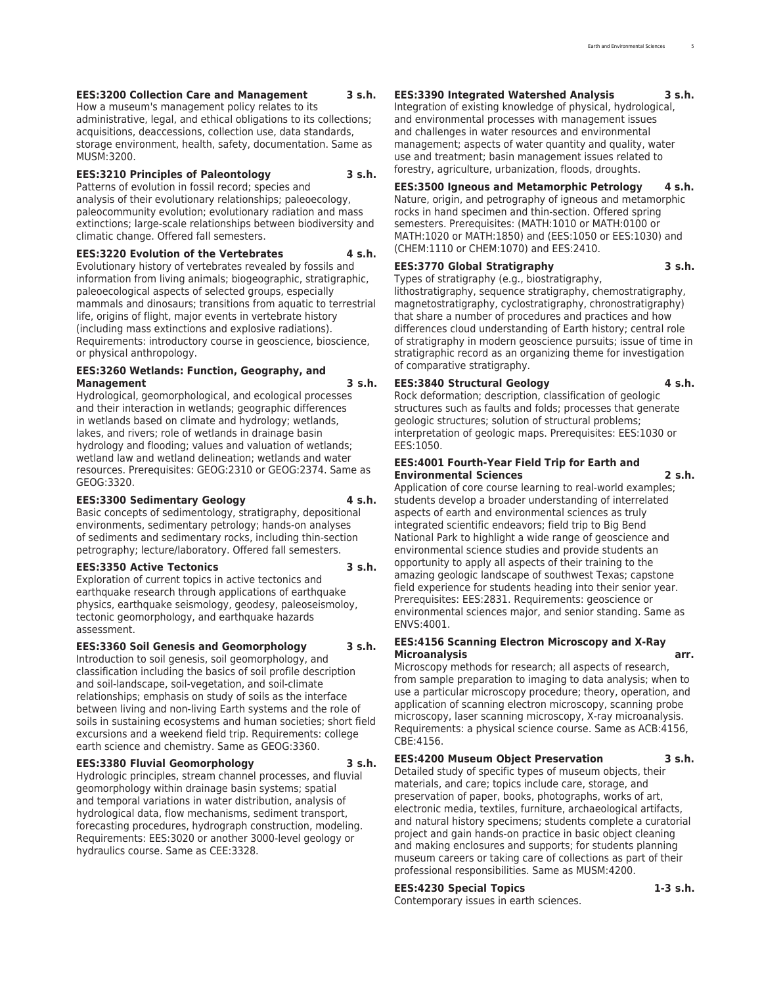#### **EES:3200 Collection Care and Management 3 s.h.**

How a museum's management policy relates to its administrative, legal, and ethical obligations to its collections; acquisitions, deaccessions, collection use, data standards, storage environment, health, safety, documentation. Same as MUSM:3200.

#### **EES:3210 Principles of Paleontology 3 s.h.**

Patterns of evolution in fossil record; species and analysis of their evolutionary relationships; paleoecology, paleocommunity evolution; evolutionary radiation and mass extinctions; large-scale relationships between biodiversity and climatic change. Offered fall semesters.

#### **EES:3220 Evolution of the Vertebrates 4 s.h.**

Evolutionary history of vertebrates revealed by fossils and information from living animals; biogeographic, stratigraphic, paleoecological aspects of selected groups, especially mammals and dinosaurs; transitions from aquatic to terrestrial life, origins of flight, major events in vertebrate history (including mass extinctions and explosive radiations). Requirements: introductory course in geoscience, bioscience, or physical anthropology.

#### **EES:3260 Wetlands: Function, Geography, and Management 3 s.h.**

Hydrological, geomorphological, and ecological processes and their interaction in wetlands; geographic differences in wetlands based on climate and hydrology; wetlands, lakes, and rivers; role of wetlands in drainage basin hydrology and flooding; values and valuation of wetlands; wetland law and wetland delineation; wetlands and water resources. Prerequisites: GEOG:2310 or GEOG:2374. Same as GEOG:3320.

#### **EES:3300 Sedimentary Geology 4 s.h.**

Basic concepts of sedimentology, stratigraphy, depositional environments, sedimentary petrology; hands-on analyses of sediments and sedimentary rocks, including thin-section petrography; lecture/laboratory. Offered fall semesters.

#### **EES:3350 Active Tectonics 3 s.h.**

Exploration of current topics in active tectonics and earthquake research through applications of earthquake physics, earthquake seismology, geodesy, paleoseismoloy, tectonic geomorphology, and earthquake hazards assessment.

#### **EES:3360 Soil Genesis and Geomorphology 3 s.h.**

Introduction to soil genesis, soil geomorphology, and classification including the basics of soil profile description and soil-landscape, soil-vegetation, and soil-climate relationships; emphasis on study of soils as the interface between living and non-living Earth systems and the role of soils in sustaining ecosystems and human societies; short field excursions and a weekend field trip. Requirements: college earth science and chemistry. Same as GEOG:3360.

#### **EES:3380 Fluvial Geomorphology 3 s.h.**

Hydrologic principles, stream channel processes, and fluvial geomorphology within drainage basin systems; spatial and temporal variations in water distribution, analysis of hydrological data, flow mechanisms, sediment transport, forecasting procedures, hydrograph construction, modeling. Requirements: EES:3020 or another 3000-level geology or hydraulics course. Same as CEE:3328.

#### **EES:3390 Integrated Watershed Analysis 3 s.h.**

Integration of existing knowledge of physical, hydrological, and environmental processes with management issues and challenges in water resources and environmental management; aspects of water quantity and quality, water use and treatment; basin management issues related to forestry, agriculture, urbanization, floods, droughts.

#### **EES:3500 Igneous and Metamorphic Petrology 4 s.h.**

Nature, origin, and petrography of igneous and metamorphic rocks in hand specimen and thin-section. Offered spring semesters. Prerequisites: (MATH:1010 or MATH:0100 or MATH:1020 or MATH:1850) and (EES:1050 or EES:1030) and (CHEM:1110 or CHEM:1070) and EES:2410.

#### **EES:3770 Global Stratigraphy 3 s.h.**

Types of stratigraphy (e.g., biostratigraphy, lithostratigraphy, sequence stratigraphy, chemostratigraphy, magnetostratigraphy, cyclostratigraphy, chronostratigraphy) that share a number of procedures and practices and how differences cloud understanding of Earth history; central role of stratigraphy in modern geoscience pursuits; issue of time in stratigraphic record as an organizing theme for investigation of comparative stratigraphy.

#### **EES:3840 Structural Geology 4 s.h.**

Rock deformation; description, classification of geologic structures such as faults and folds; processes that generate geologic structures; solution of structural problems; interpretation of geologic maps. Prerequisites: EES:1030 or EES:1050.

#### **EES:4001 Fourth-Year Field Trip for Earth and Environmental Sciences 2 s.h.**

Application of core course learning to real-world examples; students develop a broader understanding of interrelated aspects of earth and environmental sciences as truly integrated scientific endeavors; field trip to Big Bend National Park to highlight a wide range of geoscience and environmental science studies and provide students an opportunity to apply all aspects of their training to the amazing geologic landscape of southwest Texas; capstone field experience for students heading into their senior year. Prerequisites: EES:2831. Requirements: geoscience or environmental sciences major, and senior standing. Same as ENVS:4001.

#### **EES:4156 Scanning Electron Microscopy and X-Ray Microanalysis arr.**

Microscopy methods for research; all aspects of research, from sample preparation to imaging to data analysis; when to use a particular microscopy procedure; theory, operation, and application of scanning electron microscopy, scanning probe microscopy, laser scanning microscopy, X-ray microanalysis. Requirements: a physical science course. Same as ACB:4156, CBE:4156.

**EES:4200 Museum Object Preservation 3 s.h.**

Detailed study of specific types of museum objects, their materials, and care; topics include care, storage, and preservation of paper, books, photographs, works of art, electronic media, textiles, furniture, archaeological artifacts, and natural history specimens; students complete a curatorial project and gain hands-on practice in basic object cleaning and making enclosures and supports; for students planning museum careers or taking care of collections as part of their professional responsibilities. Same as MUSM:4200.

#### **EES:4230 Special Topics 1-3 s.h.**

Contemporary issues in earth sciences.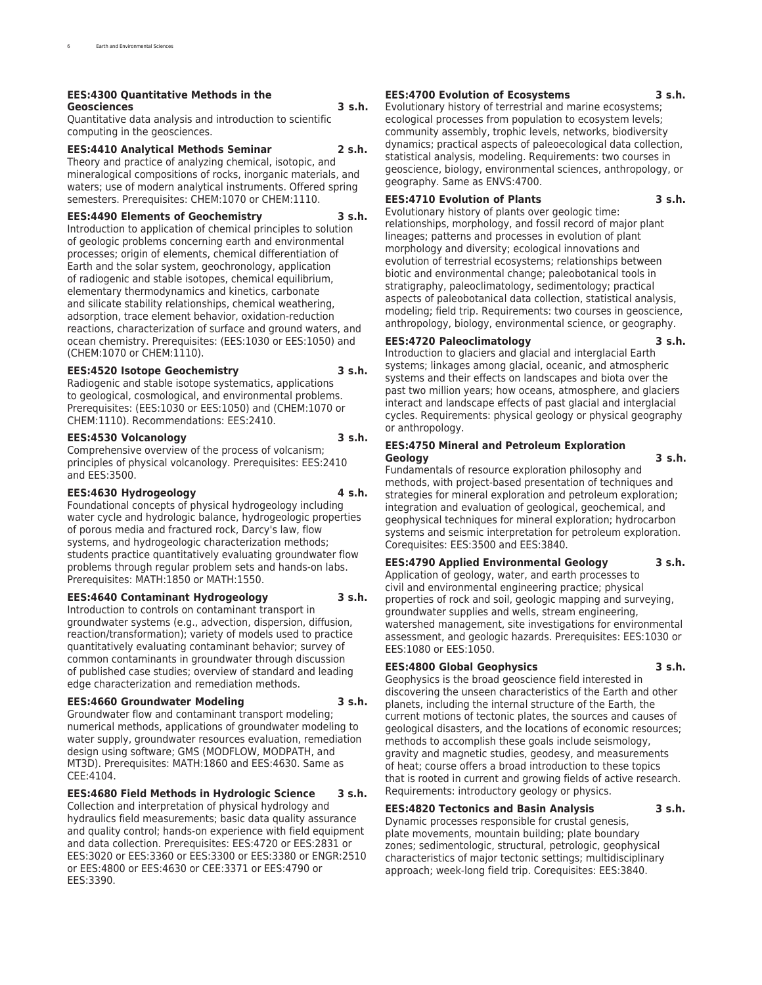#### **EES:4300 Quantitative Methods in the Geosciences 3 s.h.**

Quantitative data analysis and introduction to scientific computing in the geosciences.

#### **EES:4410 Analytical Methods Seminar 2 s.h.**

Theory and practice of analyzing chemical, isotopic, and mineralogical compositions of rocks, inorganic materials, and waters; use of modern analytical instruments. Offered spring semesters. Prerequisites: CHEM:1070 or CHEM:1110.

#### **EES:4490 Elements of Geochemistry 3 s.h.**

Introduction to application of chemical principles to solution of geologic problems concerning earth and environmental processes; origin of elements, chemical differentiation of Earth and the solar system, geochronology, application of radiogenic and stable isotopes, chemical equilibrium, elementary thermodynamics and kinetics, carbonate and silicate stability relationships, chemical weathering, adsorption, trace element behavior, oxidation-reduction reactions, characterization of surface and ground waters, and ocean chemistry. Prerequisites: (EES:1030 or EES:1050) and (CHEM:1070 or CHEM:1110).

#### **EES:4520 Isotope Geochemistry 3 s.h.**

Radiogenic and stable isotope systematics, applications to geological, cosmological, and environmental problems. Prerequisites: (EES:1030 or EES:1050) and (CHEM:1070 or CHEM:1110). Recommendations: EES:2410.

#### **EES:4530 Volcanology 3 s.h.**

Comprehensive overview of the process of volcanism; principles of physical volcanology. Prerequisites: EES:2410 and EES:3500.

#### **EES:4630 Hydrogeology 4 s.h.**

Foundational concepts of physical hydrogeology including water cycle and hydrologic balance, hydrogeologic properties of porous media and fractured rock, Darcy's law, flow systems, and hydrogeologic characterization methods; students practice quantitatively evaluating groundwater flow problems through regular problem sets and hands-on labs. Prerequisites: MATH:1850 or MATH:1550.

#### **EES:4640 Contaminant Hydrogeology 3 s.h.**

Introduction to controls on contaminant transport in groundwater systems (e.g., advection, dispersion, diffusion, reaction/transformation); variety of models used to practice quantitatively evaluating contaminant behavior; survey of common contaminants in groundwater through discussion of published case studies; overview of standard and leading edge characterization and remediation methods.

### **EES:4660 Groundwater Modeling 3 s.h.**

Groundwater flow and contaminant transport modeling; numerical methods, applications of groundwater modeling to water supply, groundwater resources evaluation, remediation design using software; GMS (MODFLOW, MODPATH, and MT3D). Prerequisites: MATH:1860 and EES:4630. Same as CEE:4104.

#### **EES:4680 Field Methods in Hydrologic Science 3 s.h.**

Collection and interpretation of physical hydrology and hydraulics field measurements; basic data quality assurance and quality control; hands-on experience with field equipment and data collection. Prerequisites: EES:4720 or EES:2831 or EES:3020 or EES:3360 or EES:3300 or EES:3380 or ENGR:2510 or EES:4800 or EES:4630 or CEE:3371 or EES:4790 or EES:3390.

#### **EES:4700 Evolution of Ecosystems 3 s.h.**

Evolutionary history of terrestrial and marine ecosystems; ecological processes from population to ecosystem levels; community assembly, trophic levels, networks, biodiversity dynamics; practical aspects of paleoecological data collection, statistical analysis, modeling. Requirements: two courses in geoscience, biology, environmental sciences, anthropology, or geography. Same as ENVS:4700.

#### **EES:4710 Evolution of Plants 3 s.h.**

Evolutionary history of plants over geologic time: relationships, morphology, and fossil record of major plant lineages; patterns and processes in evolution of plant morphology and diversity; ecological innovations and evolution of terrestrial ecosystems; relationships between biotic and environmental change; paleobotanical tools in stratigraphy, paleoclimatology, sedimentology; practical aspects of paleobotanical data collection, statistical analysis, modeling; field trip. Requirements: two courses in geoscience, anthropology, biology, environmental science, or geography.

#### **EES:4720 Paleoclimatology 3 s.h.**

Introduction to glaciers and glacial and interglacial Earth systems; linkages among glacial, oceanic, and atmospheric systems and their effects on landscapes and biota over the past two million years; how oceans, atmosphere, and glaciers interact and landscape effects of past glacial and interglacial cycles. Requirements: physical geology or physical geography or anthropology.

#### **EES:4750 Mineral and Petroleum Exploration Geology 3 s.h.**

Fundamentals of resource exploration philosophy and methods, with project-based presentation of techniques and strategies for mineral exploration and petroleum exploration; integration and evaluation of geological, geochemical, and geophysical techniques for mineral exploration; hydrocarbon systems and seismic interpretation for petroleum exploration.

**EES:4790 Applied Environmental Geology 3 s.h.**

Application of geology, water, and earth processes to civil and environmental engineering practice; physical properties of rock and soil, geologic mapping and surveying, groundwater supplies and wells, stream engineering, watershed management, site investigations for environmental assessment, and geologic hazards. Prerequisites: EES:1030 or EES:1080 or EES:1050.

#### **EES:4800 Global Geophysics 3 s.h.**

Corequisites: EES:3500 and EES:3840.

Geophysics is the broad geoscience field interested in discovering the unseen characteristics of the Earth and other planets, including the internal structure of the Earth, the current motions of tectonic plates, the sources and causes of geological disasters, and the locations of economic resources; methods to accomplish these goals include seismology, gravity and magnetic studies, geodesy, and measurements of heat; course offers a broad introduction to these topics that is rooted in current and growing fields of active research. Requirements: introductory geology or physics.

**EES:4820 Tectonics and Basin Analysis 3 s.h.**

Dynamic processes responsible for crustal genesis, plate movements, mountain building; plate boundary zones; sedimentologic, structural, petrologic, geophysical characteristics of major tectonic settings; multidisciplinary approach; week-long field trip. Corequisites: EES:3840.